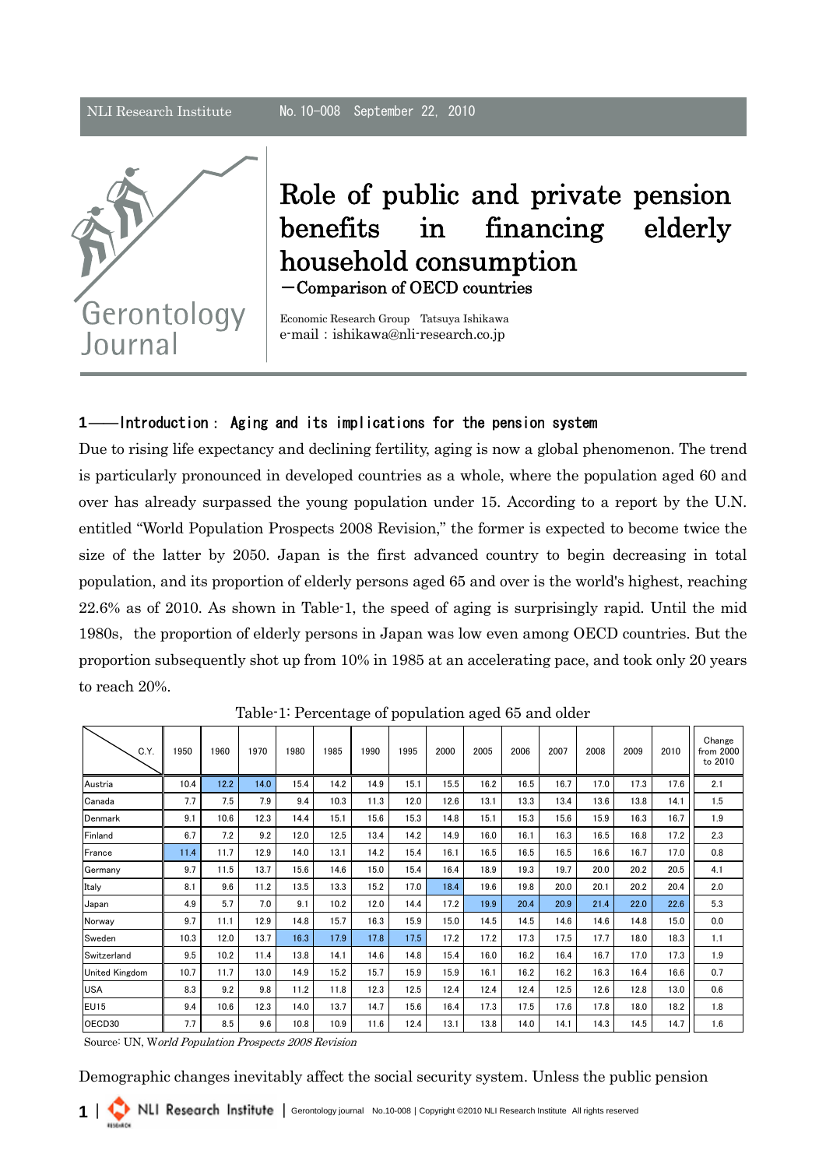

Role of public and private pension benefits in financing elderly household consumption -Comparison of OECD countries

Economic Research Group Tatsuya Ishikawa e-mail: ishikawa@nli-research.co.jp

## 1――Introduction: Aging and its implications for the pension system

Due to rising life expectancy and declining fertility, aging is now a global phenomenon. The trend is particularly pronounced in developed countries as a whole, where the population aged 60 and over has already surpassed the young population under 15. According to a report by the U.N. entitled "World Population Prospects 2008 Revision," the former is expected to become twice the size of the latter by 2050. Japan is the first advanced country to begin decreasing in total population, and its proportion of elderly persons aged 65 and over is the world's highest, reaching 22.6% as of 2010. As shown in Table-1, the speed of aging is surprisingly rapid. Until the mid 1980s, the proportion of elderly persons in Japan was low even among OECD countries. But the proportion subsequently shot up from 10% in 1985 at an accelerating pace, and took only 20 years to reach 20%.

| C.Y.                  | 1950 | 1960 | 1970 | 1980 | 1985 | 1990 | 1995 | 2000 | 2005 | 2006 | 2007 | 2008 | 2009 | 2010 | Change<br>from 2000<br>to 2010 |
|-----------------------|------|------|------|------|------|------|------|------|------|------|------|------|------|------|--------------------------------|
| Austria               | 10.4 | 12.2 | 14.0 | 15.4 | 14.2 | 14.9 | 15.1 | 15.5 | 16.2 | 16.5 | 16.7 | 17.0 | 17.3 | 17.6 | 2.1                            |
| Canada                | 7.7  | 7.5  | 7.9  | 9.4  | 10.3 | 11.3 | 12.0 | 12.6 | 13.1 | 13.3 | 13.4 | 13.6 | 13.8 | 14.1 | 1.5                            |
| Denmark               | 9.1  | 10.6 | 12.3 | 14.4 | 15.1 | 15.6 | 15.3 | 14.8 | 15.1 | 15.3 | 15.6 | 15.9 | 16.3 | 16.7 | 1.9                            |
| Finland               | 6.7  | 7.2  | 9.2  | 12.0 | 12.5 | 13.4 | 14.2 | 14.9 | 16.0 | 16.1 | 16.3 | 16.5 | 16.8 | 17.2 | 2.3                            |
| France                | 11.4 | 11.7 | 12.9 | 14.0 | 13.1 | 14.2 | 15.4 | 16.1 | 16.5 | 16.5 | 16.5 | 16.6 | 16.7 | 17.0 | 0.8                            |
| Germany               | 9.7  | 11.5 | 13.7 | 15.6 | 14.6 | 15.0 | 15.4 | 16.4 | 18.9 | 19.3 | 19.7 | 20.0 | 20.2 | 20.5 | 4.1                            |
| Italy                 | 8.1  | 9.6  | 11.2 | 13.5 | 13.3 | 15.2 | 17.0 | 18.4 | 19.6 | 19.8 | 20.0 | 20.1 | 20.2 | 20.4 | 2.0                            |
| Japan                 | 4.9  | 5.7  | 7.0  | 9.1  | 10.2 | 12.0 | 14.4 | 17.2 | 19.9 | 20.4 | 20.9 | 21.4 | 22.0 | 22.6 | 5.3                            |
| Norway                | 9.7  | 11.1 | 12.9 | 14.8 | 15.7 | 16.3 | 15.9 | 15.0 | 14.5 | 14.5 | 14.6 | 14.6 | 14.8 | 15.0 | 0.0                            |
| Sweden                | 10.3 | 12.0 | 13.7 | 16.3 | 17.9 | 17.8 | 17.5 | 17.2 | 17.2 | 17.3 | 17.5 | 17.7 | 18.0 | 18.3 | 1.1                            |
| Switzerland           | 9.5  | 10.2 | 11.4 | 13.8 | 14.1 | 14.6 | 14.8 | 15.4 | 16.0 | 16.2 | 16.4 | 16.7 | 17.0 | 17.3 | 1.9                            |
| <b>United Kingdom</b> | 10.7 | 11.7 | 13.0 | 14.9 | 15.2 | 15.7 | 15.9 | 15.9 | 16.1 | 16.2 | 16.2 | 16.3 | 16.4 | 16.6 | 0.7                            |
| USA                   | 8.3  | 9.2  | 9.8  | 11.2 | 11.8 | 12.3 | 12.5 | 12.4 | 12.4 | 12.4 | 12.5 | 12.6 | 12.8 | 13.0 | 0.6                            |
| <b>EU15</b>           | 9.4  | 10.6 | 12.3 | 14.0 | 13.7 | 14.7 | 15.6 | 16.4 | 17.3 | 17.5 | 17.6 | 17.8 | 18.0 | 18.2 | 1.8                            |
| OECD30                | 7.7  | 8.5  | 9.6  | 10.8 | 10.9 | 11.6 | 12.4 | 13.1 | 13.8 | 14.0 | 14.1 | 14.3 | 14.5 | 14.7 | 1.6                            |

Table-1: Percentage of population aged 65 and older

Source: UN, World Population Prospects 2008 Revision

Demographic changes inevitably affect the social security system. Unless the public pension

1 | NLI Research Institute | Gerontology journal No.10-008 | Copyright ©2010 NLI Research Institute All rights reserved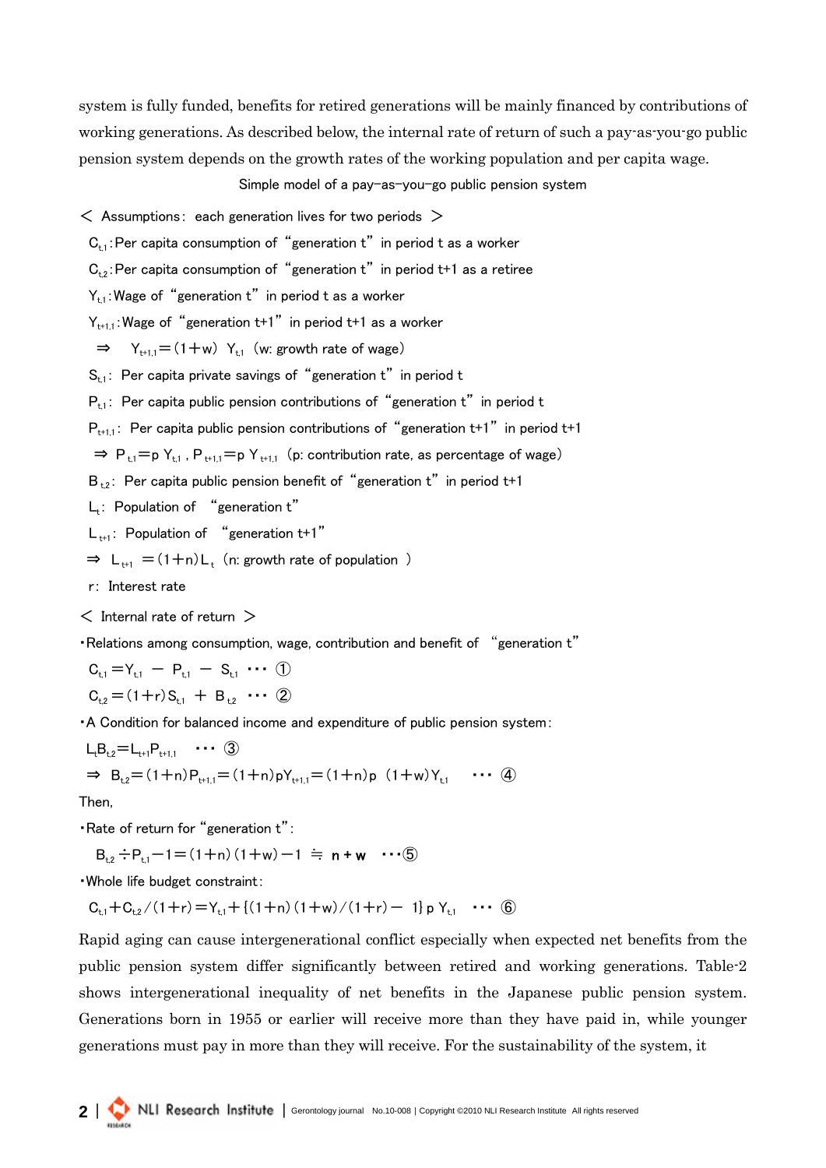system is fully funded, benefits for retired generations will be mainly financed by contributions of working generations. As described below, the internal rate of return of such a pay-as-you-go public pension system depends on the growth rates of the working population and per capita wage.

Simple model of a pay-as-you-go public pension system

 $\leq$  Assumptions: each generation lives for two periods  $>$ 

 $C_{t,1}$ : Per capita consumption of "generation t" in period t as a worker

 $C_{t2}$ : Per capita consumption of "generation t" in period t+1 as a retiree

 $Y_{t,1}$ : Wage of "generation t" in period t as a worker

 $Y_{t+11}$ : Wage of "generation t+1" in period t+1 as a worker

 $\Rightarrow$  Y<sub>t+1,1</sub> = (1+w) Y<sub>t,1</sub> (w: growth rate of wage)

 $S_{t,1}$ : Per capita private savings of "generation t" in period t

 $P_{t,1}$ : Per capita public pension contributions of "generation t" in period t

 $P_{t+1,1}$ : Per capita public pension contributions of "generation t+1" in period t+1

 $\Rightarrow$  P<sub>+1</sub>=p Y<sub>+1</sub>, P<sub>++11</sub>=p Y<sub>++11</sub> (p: contribution rate, as percentage of wage)

 $B_{1,2}$ : Per capita public pension benefit of "generation t" in period t+1

 $L_t$ : Population of "generation  $t$ "

 $L_{t+1}$ : Population of "generation t+1"

$$
\Rightarrow L_{t+1} = (1+n)L_t
$$
 (n: growth rate of population )

r: Interest rate

 $<$  Internal rate of return  $>$ 

・Relations among consumption, wage, contribution and benefit of "generation t"

 $C_{t,1} = Y_{t,1} - P_{t,1} - S_{t,1} \cdots$  (1)  $C_{t2} = (1+r)S_{t1} + B_{t2} \cdots (2)$ 

・A Condition for balanced income and expenditure of public pension system:

$$
L_{t}B_{t,2} = L_{t+1}P_{t+1,1} \cdots \textcircled{3}
$$
\n
$$
\Rightarrow B_{t,2} = (1+n)P_{t+1,1} = (1+n)pY_{t+1,1} = (1+n)p (1+w)Y_{t,1} \cdots \textcircled{4}
$$

Then,

・Rate of return for "generation t":

$$
B_{t,2} \div P_{t,1} - 1 = (1+n)(1+w) - 1 \approx n+w \cdots (5)
$$

・Whole life budget constraint:

 $C_{t_1}+C_{t_2}/(1+r)=Y_{t_1}+{(1+n)(1+w)/(1+r)}-1$  p  $Y_{t_1} \cdots \hat{F}_{t_n}$ 

Rapid aging can cause intergenerational conflict especially when expected net benefits from the public pension system differ significantly between retired and working generations. Table-2 shows intergenerational inequality of net benefits in the Japanese public pension system. Generations born in 1955 or earlier will receive more than they have paid in, while younger generations must pay in more than they will receive. For the sustainability of the system, it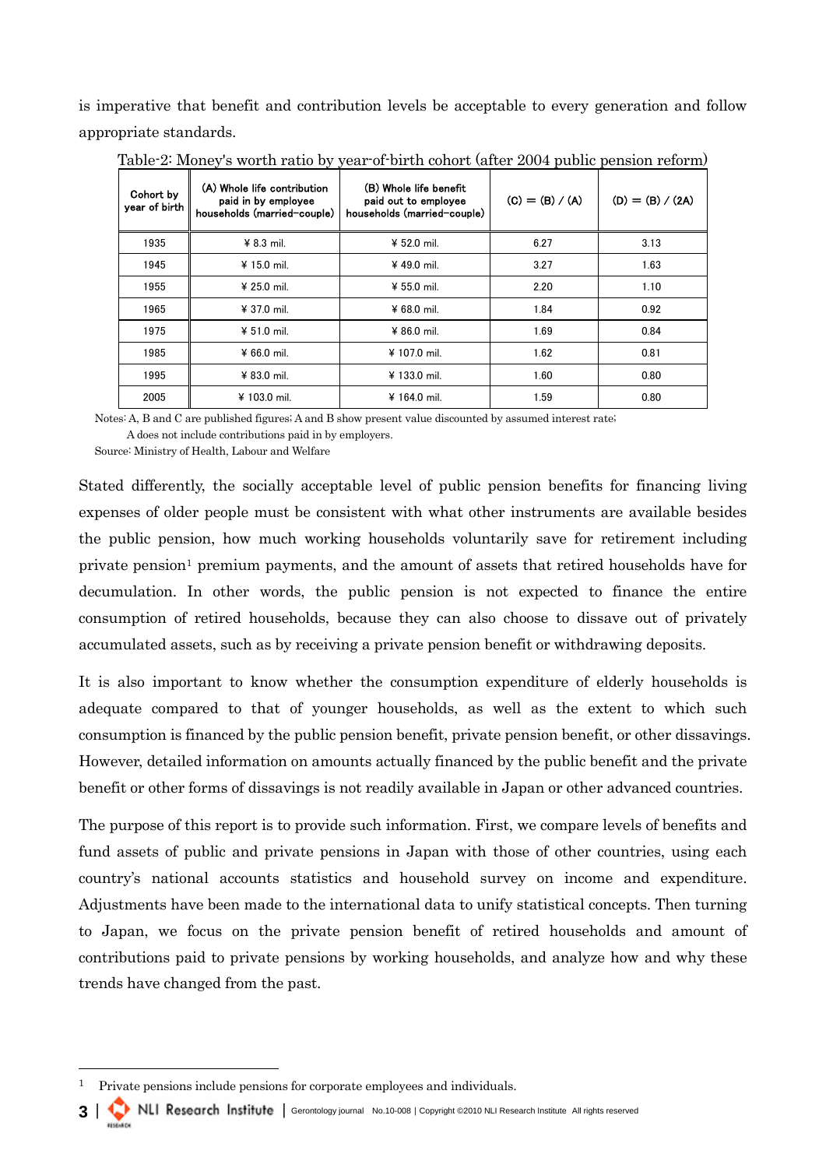is imperative that benefit and contribution levels be acceptable to every generation and follow appropriate standards.

| Cohort by<br>year of birth | (A) Whole life contribution<br>paid in by employee<br>households (married-couple) | (B) Whole life benefit<br>paid out to employee<br>households (married-couple) | $(C) = (B) / (A)$ | $(D) = (B) / (2A)$ |
|----------------------------|-----------------------------------------------------------------------------------|-------------------------------------------------------------------------------|-------------------|--------------------|
| 1935                       | $48.3$ mil.                                                                       | ¥ 52.0 mil.                                                                   | 6.27              | 3.13               |
| 1945                       | ¥ 15.0 mil.                                                                       | ¥ 49.0 mil.                                                                   | 3.27              | 1.63               |
| 1955                       | ¥ 25.0 mil.                                                                       | ¥ 55.0 mil.                                                                   | 2.20              | 1.10               |
| 1965                       | ¥ 37.0 mil.                                                                       | $¥ 68.0$ mil.                                                                 | 1.84              | 0.92               |
| 1975                       | ¥ 51.0 mil.                                                                       | ¥ 86.0 mil.                                                                   | 1.69              | 0.84               |
| 1985                       | $466.0$ mil.                                                                      | ¥ 107.0 mil.                                                                  | 1.62              | 0.81               |
| 1995                       | ¥ 83.0 mil.                                                                       | ¥ 133.0 mil.                                                                  | 1.60              | 0.80               |
| 2005                       | ¥ 103.0 mil.                                                                      | ¥ 164.0 mil.                                                                  | 1.59              | 0.80               |

Table-2: Money's worth ratio by year-of-birth cohort (after 2004 public pension reform)

Notes: A, B and C are published figures; A and B show present value discounted by assumed interest rate;

A does not include contributions paid in by employers.

Source: Ministry of Health, Labour and Welfare

Stated differently, the socially acceptable level of public pension benefits for financing living expenses of older people must be consistent with what other instruments are available besides the public pension, how much working households voluntarily save for retirement including private pension[1](#page-2-0) premium payments, and the amount of assets that retired households have for decumulation. In other words, the public pension is not expected to finance the entire consumption of retired households, because they can also choose to dissave out of privately accumulated assets, such as by receiving a private pension benefit or withdrawing deposits.

It is also important to know whether the consumption expenditure of elderly households is adequate compared to that of younger households, as well as the extent to which such consumption is financed by the public pension benefit, private pension benefit, or other dissavings. However, detailed information on amounts actually financed by the public benefit and the private benefit or other forms of dissavings is not readily available in Japan or other advanced countries.

The purpose of this report is to provide such information. First, we compare levels of benefits and fund assets of public and private pensions in Japan with those of other countries, using each country's national accounts statistics and household survey on income and expenditure. Adjustments have been made to the international data to unify statistical concepts. Then turning to Japan, we focus on the private pension benefit of retired households and amount of contributions paid to private pensions by working households, and analyze how and why these trends have changed from the past.

3 | NLI Research Institute | Gerontology journal No.10-008 | Copyright ©2010 NLI Research Institute All rights reserved

<span id="page-2-0"></span><sup>1</sup> Private pensions include pensions for corporate employees and individuals.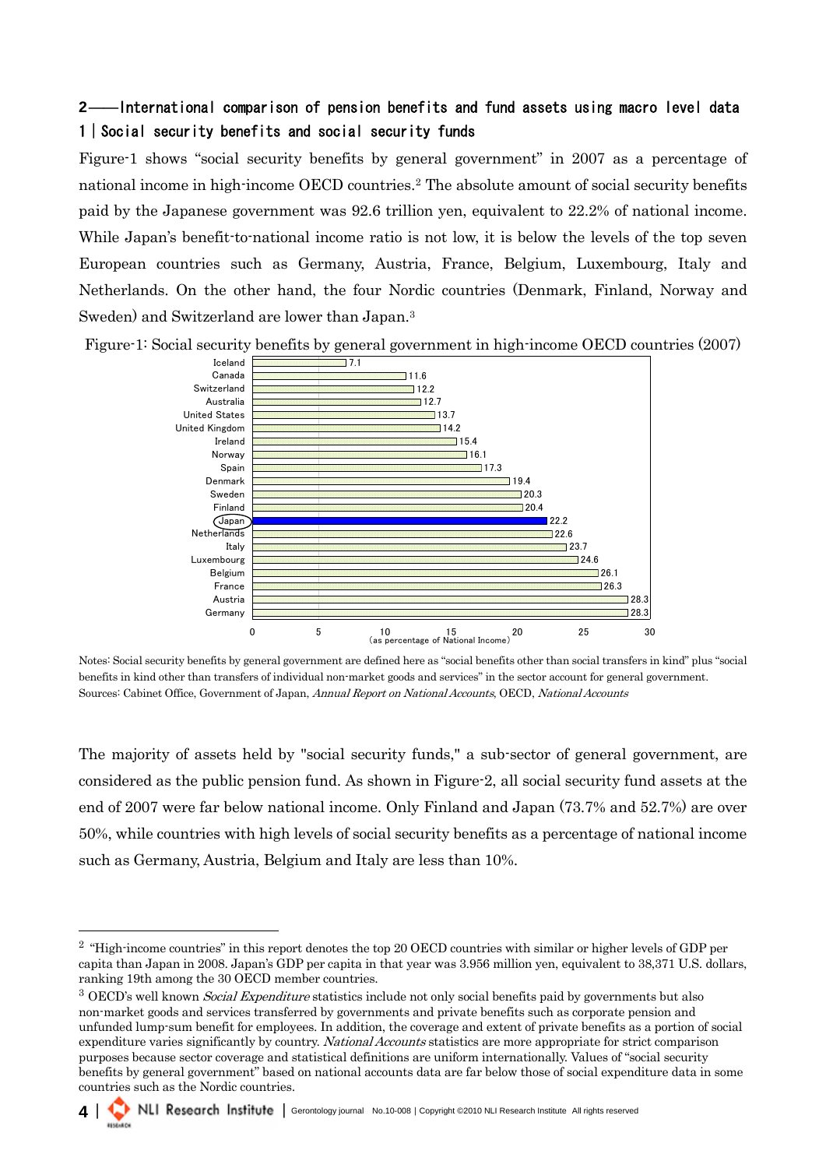# 2――International comparison of pension benefits and fund assets using macro level data 1|Social security benefits and social security funds

Figure-1 shows "social security benefits by general government" in 2007 as a percentage of national income in high-income OECD countries.[2](#page-3-0) The absolute amount of social security benefits paid by the Japanese government was 92.6 trillion yen, equivalent to 22.2% of national income. While Japan's benefit-to-national income ratio is not low, it is below the levels of the top seven European countries such as Germany, Austria, France, Belgium, Luxembourg, Italy and Netherlands. On the other hand, the four Nordic countries (Denmark, Finland, Norway and Sweden) and Switzerland are lower than Japan[.3](#page-3-1)



Figure-1: Social security benefits by general government in high-income OECD countries (2007)

Notes: Social security benefits by general government are defined here as "social benefits other than social transfers in kind" plus "social benefits in kind other than transfers of individual non-market goods and services" in the sector account for general government. Sources: Cabinet Office, Government of Japan, Annual Report on National Accounts, OECD, National Accounts

The majority of assets held by "social security funds," a sub-sector of general government, are considered as the public pension fund. As shown in Figure-2, all social security fund assets at the end of 2007 were far below national income. Only Finland and Japan (73.7% and 52.7%) are over 50%, while countries with high levels of social security benefits as a percentage of national income such as Germany, Austria, Belgium and Italy are less than 10%.

<span id="page-3-1"></span>non-market goods and services transferred by governments and private benefits such as corporate pension and unfunded lump-sum benefit for employees. In addition, the coverage and extent of private benefits as a portion of social expenditure varies significantly by country. National Accounts statistics are more appropriate for strict comparison purposes because sector coverage and statistical definitions are uniform internationally. Values of "social security benefits by general government" based on national accounts data are far below those of social expenditure data in some countries such as the Nordic countries.



<span id="page-3-0"></span><sup>&</sup>lt;sup>2</sup> "High-income countries" in this report denotes the top 20 OECD countries with similar or higher levels of GDP per capita than Japan in 2008. Japan's GDP per capita in that year was 3.956 million yen, equivalent to 38,371 U.S. dollars, ranking 19th among the 30 OECD member countries.<br><sup>3</sup> OECD's well known *Social Expenditure* statistics include not only social benefits paid by governments but also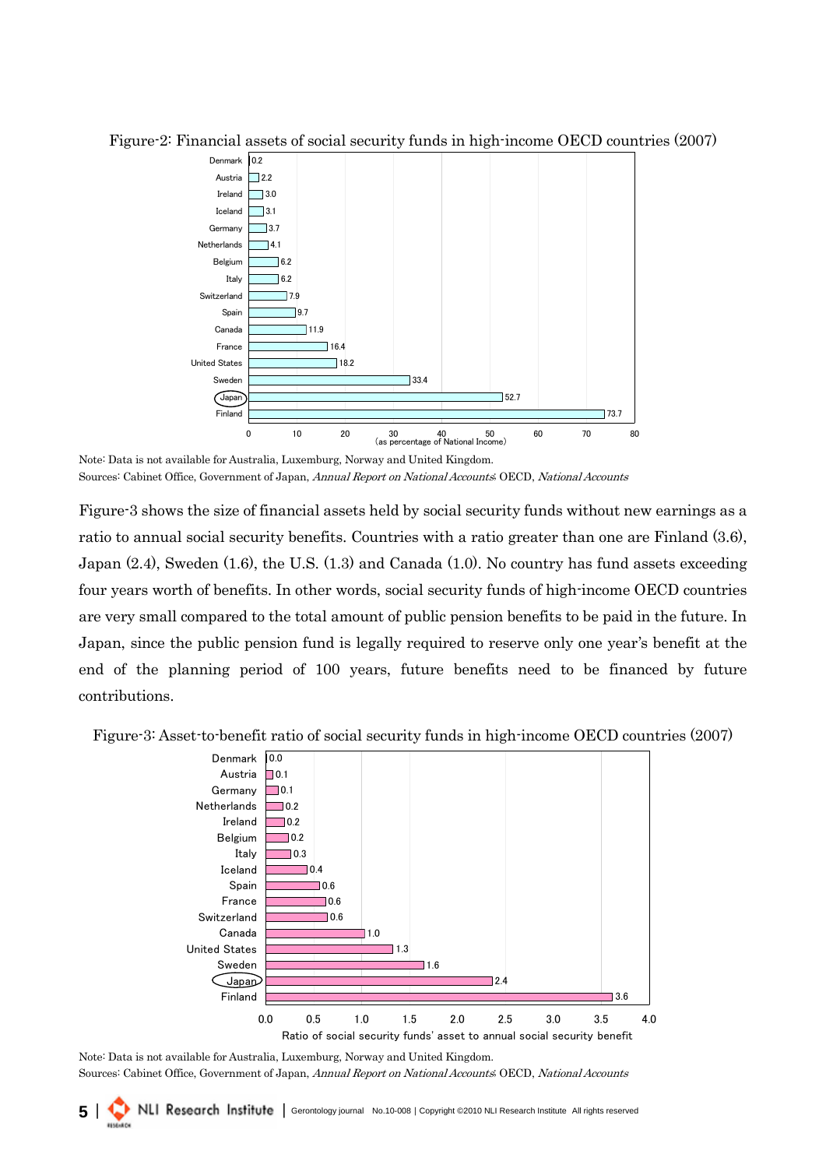

Figure-2: Financial assets of social security funds in high-income OECD countries (2007)

Figure-3 shows the size of financial assets held by social security funds without new earnings as a ratio to annual social security benefits. Countries with a ratio greater than one are Finland (3.6), Japan (2.4), Sweden (1.6), the U.S. (1.3) and Canada (1.0). No country has fund assets exceeding four years worth of benefits. In other words, social security funds of high-income OECD countries are very small compared to the total amount of public pension benefits to be paid in the future. In Japan, since the public pension fund is legally required to reserve only one year's benefit at the end of the planning period of 100 years, future benefits need to be financed by future contributions.





Note: Data is not available for Australia, Luxemburg, Norway and United Kingdom. Sources: Cabinet Office, Government of Japan, Annual Report on National Accounts; OECD, National Accounts

5 | NLI Research Institute | Gerontology journal No.10-008 | Copyright ©2010 NLI Research Institute All rights reserved

Note: Data is not available for Australia, Luxemburg, Norway and United Kingdom. Sources: Cabinet Office, Government of Japan, Annual Report on National Accounts; OECD, National Accounts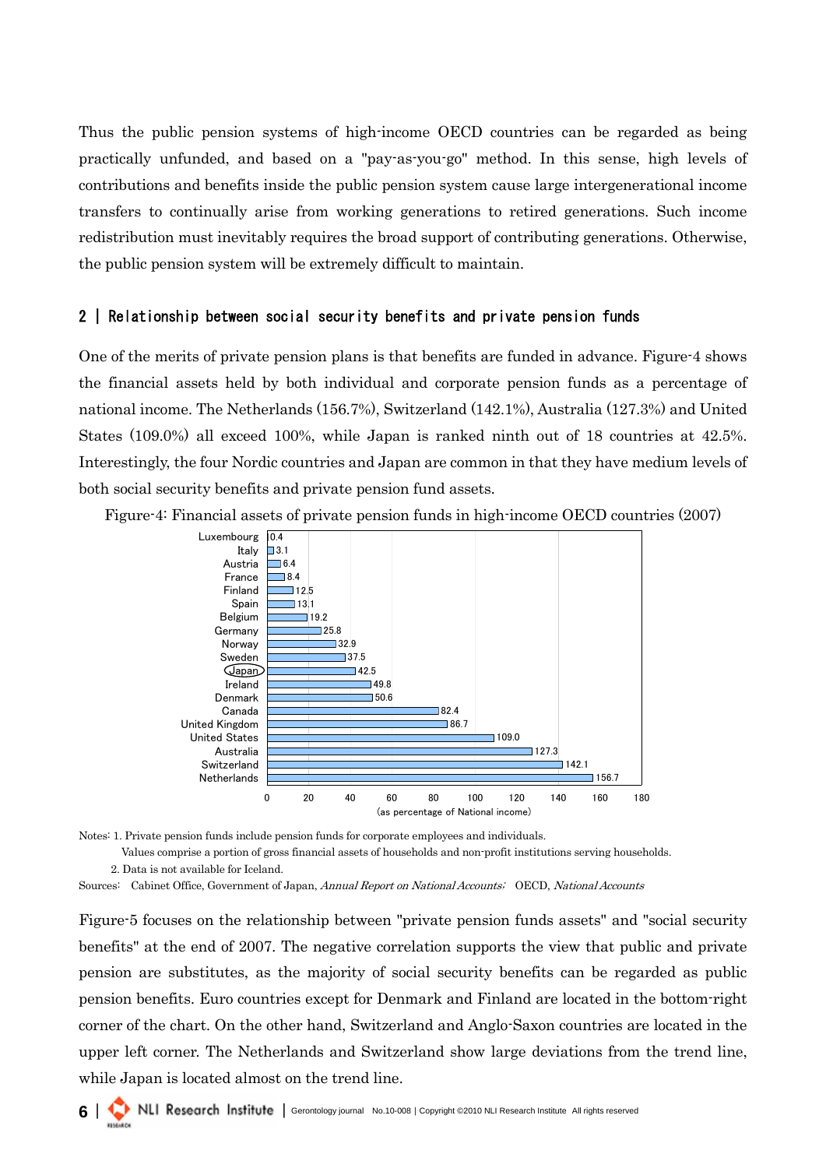Thus the public pension systems of high-income OECD countries can be regarded as being practically unfunded, and based on a "pay-as-you-go" method. In this sense, high levels of contributions and benefits inside the public pension system cause large intergenerational income transfers to continually arise from working generations to retired generations. Such income redistribution must inevitably requires the broad support of contributing generations. Otherwise, the public pension system will be extremely difficult to maintain.

### 2 | Relationship between social security benefits and private pension funds

One of the merits of private pension plans is that benefits are funded in advance. Figure-4 shows the financial assets held by both individual and corporate pension funds as a percentage of national income. The Netherlands (156.7%), Switzerland (142.1%), Australia (127.3%) and United States (109.0%) all exceed 100%, while Japan is ranked ninth out of 18 countries at 42.5%. Interestingly, the four Nordic countries and Japan are common in that they have medium levels of both social security benefits and private pension fund assets.

Figure-4: Financial assets of private pension funds in high-income OECD countries (2007)



Notes: 1. Private pension funds include pension funds for corporate employees and individuals.

Values comprise a portion of gross financial assets of households and non-profit institutions serving households.

2. Data is not available for Iceland.

Sources: Cabinet Office, Government of Japan, Annual Report on National Accounts; OECD, National Accounts

Figure-5 focuses on the relationship between "private pension funds assets" and "social security benefits" at the end of 2007. The negative correlation supports the view that public and private pension are substitutes, as the majority of social security benefits can be regarded as public pension benefits. Euro countries except for Denmark and Finland are located in the bottom-right corner of the chart. On the other hand, Switzerland and Anglo-Saxon countries are located in the upper left corner. The Netherlands and Switzerland show large deviations from the trend line, while Japan is located almost on the trend line.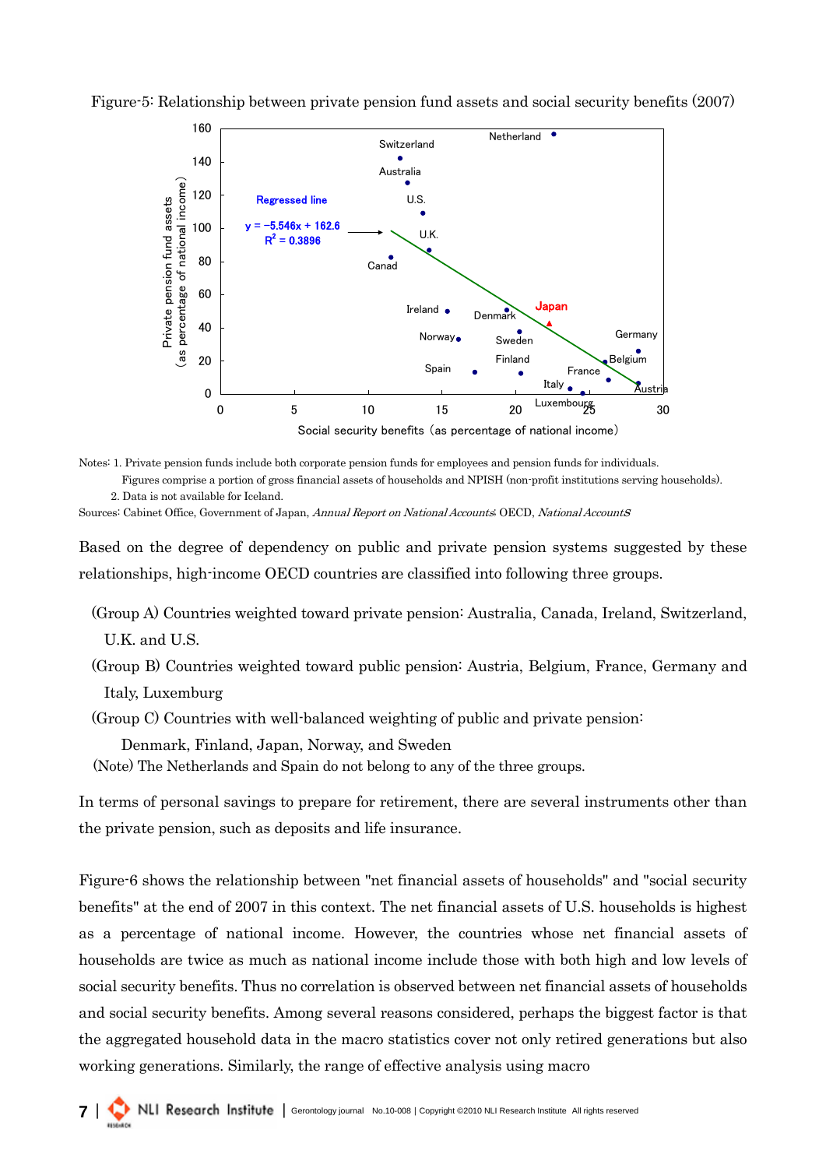

Figure-5: Relationship between private pension fund assets and social security benefits (2007)

Notes: 1. Private pension funds include both corporate pension funds for employees and pension funds for individuals. Figures comprise a portion of gross financial assets of households and NPISH (non-profit institutions serving households). 2. Data is not available for Iceland.

Sources: Cabinet Office, Government of Japan, Annual Report on National Accounts; OECD, National AccountS

Based on the degree of dependency on public and private pension systems suggested by these relationships, high-income OECD countries are classified into following three groups.

(Group A) Countries weighted toward private pension: Australia, Canada, Ireland, Switzerland, U.K. and U.S.

(Group B) Countries weighted toward public pension: Austria, Belgium, France, Germany and Italy, Luxemburg

(Group C) Countries with well-balanced weighting of public and private pension:

Denmark, Finland, Japan, Norway, and Sweden

(Note) The Netherlands and Spain do not belong to any of the three groups.

In terms of personal savings to prepare for retirement, there are several instruments other than the private pension, such as deposits and life insurance.

Figure-6 shows the relationship between "net financial assets of households" and "social security benefits" at the end of 2007 in this context. The net financial assets of U.S. households is highest as a percentage of national income. However, the countries whose net financial assets of households are twice as much as national income include those with both high and low levels of social security benefits. Thus no correlation is observed between net financial assets of households and social security benefits. Among several reasons considered, perhaps the biggest factor is that the aggregated household data in the macro statistics cover not only retired generations but also working generations. Similarly, the range of effective analysis using macro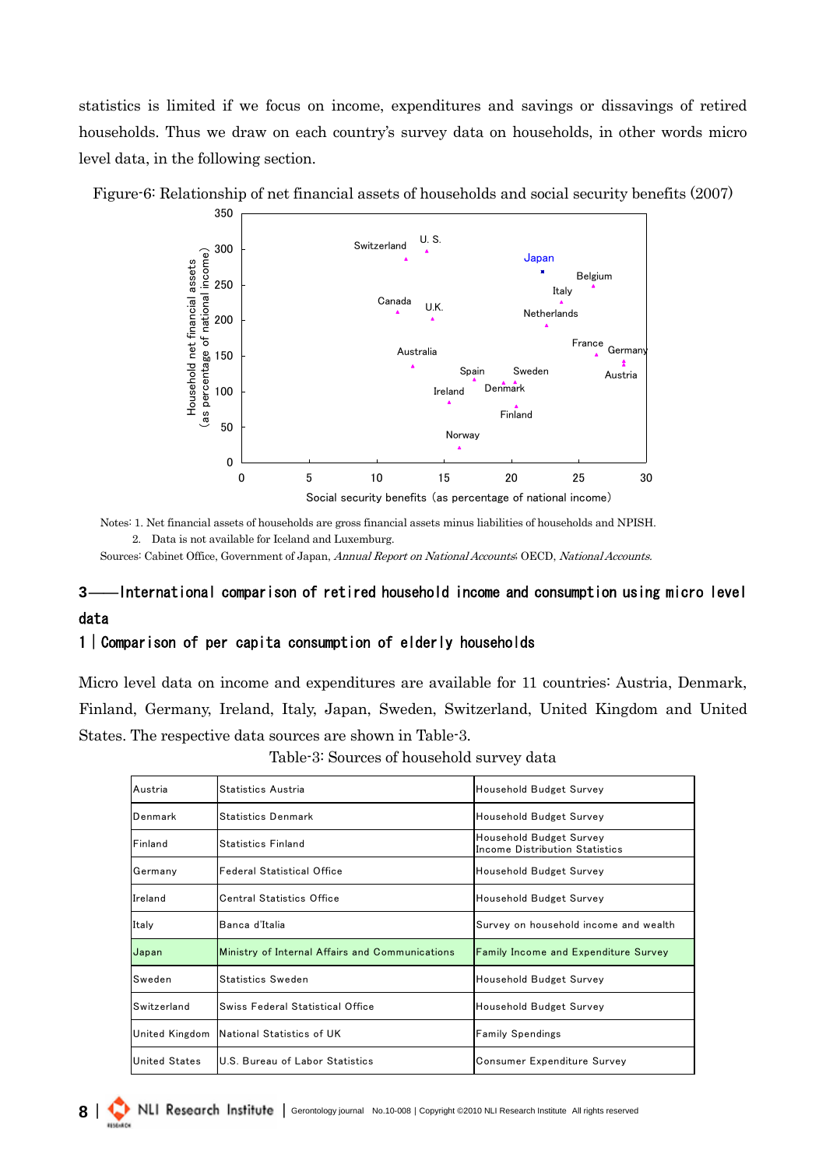statistics is limited if we focus on income, expenditures and savings or dissavings of retired households. Thus we draw on each country's survey data on households, in other words micro level data, in the following section.



Figure-6: Relationship of net financial assets of households and social security benefits (2007)

Notes: 1. Net financial assets of households are gross financial assets minus liabilities of households and NPISH. 2. Data is not available for Iceland and Luxemburg.

Sources: Cabinet Office, Government of Japan, Annual Report on National Accounts; OECD, National Accounts.

# 3――International comparison of retired household income and consumption using micro level data

#### 1|Comparison of per capita consumption of elderly households

Micro level data on income and expenditures are available for 11 countries: Austria, Denmark, Finland, Germany, Ireland, Italy, Japan, Sweden, Switzerland, United Kingdom and United States. The respective data sources are shown in Table-3.

| Austria          | Statistics Austria                              | Household Budget Survey                                   |
|------------------|-------------------------------------------------|-----------------------------------------------------------|
| <b>I</b> Denmark | <b>Statistics Denmark</b>                       | Household Budget Survey                                   |
| <b>Finland</b>   | <b>Statistics Finland</b>                       | Household Budget Survey<br>Income Distribution Statistics |
| Germany          | lFederal Statistical Office                     | Household Budget Survey                                   |
| Ireland          | <b>Central Statistics Office</b>                | Household Budget Survey                                   |
| Italy            | Banca d'Italia                                  | Survey on household income and wealth                     |
| Japan            | Ministry of Internal Affairs and Communications | <b>Family Income and Expenditure Survey</b>               |
| <b>Sweden</b>    | Statistics Sweden                               | Household Budget Survey                                   |
| Switzerland      | Swiss Federal Statistical Office                | Household Budget Survey                                   |
| United Kingdom   | National Statistics of UK                       | <b>Family Spendings</b>                                   |
| United States    | U.S. Bureau of Labor Statistics                 | Consumer Expenditure Survey                               |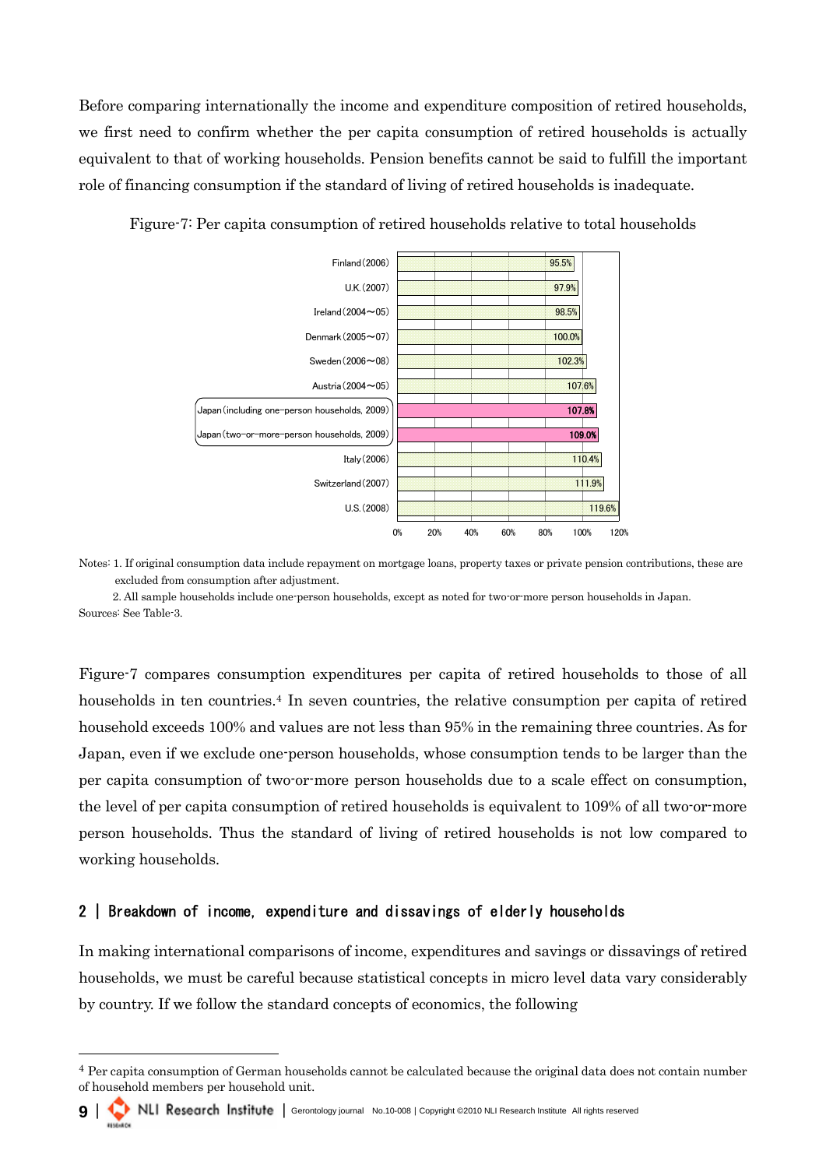Before comparing internationally the income and expenditure composition of retired households, we first need to confirm whether the per capita consumption of retired households is actually equivalent to that of working households. Pension benefits cannot be said to fulfill the important role of financing consumption if the standard of living of retired households is inadequate.



Figure-7: Per capita consumption of retired households relative to total households

Notes: 1. If original consumption data include repayment on mortgage loans, property taxes or private pension contributions, these are excluded from consumption after adjustment.

2. All sample households include one-person households, except as noted for two-or-more person households in Japan. Sources: See Table-3.

Figure-7 compares consumption expenditures per capita of retired households to those of all households in ten countries.<sup>4</sup> In seven countries, the relative consumption per capita of retired household exceeds 100% and values are not less than 95% in the remaining three countries. As for Japan, even if we exclude one-person households, whose consumption tends to be larger than the per capita consumption of two-or-more person households due to a scale effect on consumption, the level of per capita consumption of retired households is equivalent to 109% of all two-or-more person households. Thus the standard of living of retired households is not low compared to working households.

## 2 | Breakdown of income, expenditure and dissavings of elderly households

In making international comparisons of income, expenditures and savings or dissavings of retired households, we must be careful because statistical concepts in micro level data vary considerably by country. If we follow the standard concepts of economics, the following

<span id="page-8-0"></span> $4$  Per capita consumption of German households cannot be calculated because the original data does not contain number of household members per household unit.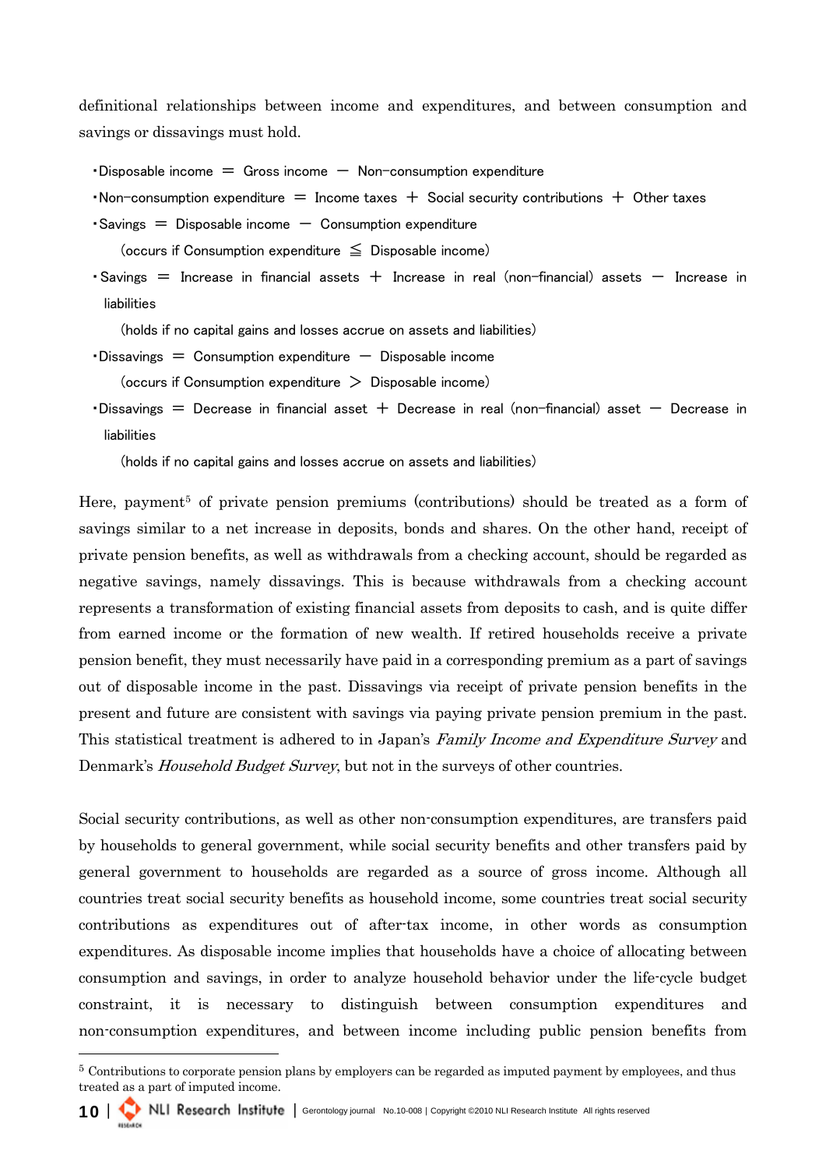definitional relationships between income and expenditures, and between consumption and savings or dissavings must hold.

 $\cdot$  Disposable income  $=$  Gross income  $-$  Non-consumption expenditure

•Non-consumption expenditure  $=$  Income taxes  $+$  Social security contributions  $+$  Other taxes

 $\cdot$  Savings  $=$  Disposable income  $-$  Consumption expenditure

(occurs if Consumption expenditure ≦ Disposable income)

 $\cdot$  Savings  $=$  Increase in financial assets  $+$  Increase in real (non-financial) assets  $-$  Increase in liabilities

(holds if no capital gains and losses accrue on assets and liabilities)

 $\cdot$  Dissavings  $=$  Consumption expenditure  $-$  Disposable income

(occurs if Consumption expenditure  $\geq$  Disposable income)

 $\cdot$ Dissavings = Decrease in financial asset + Decrease in real (non-financial) asset - Decrease in liabilities

(holds if no capital gains and losses accrue on assets and liabilities)

Here, payment<sup>5</sup> of private pension premiums (contributions) should be treated as a form of savings similar to a net increase in deposits, bonds and shares. On the other hand, receipt of private pension benefits, as well as withdrawals from a checking account, should be regarded as negative savings, namely dissavings. This is because withdrawals from a checking account represents a transformation of existing financial assets from deposits to cash, and is quite differ from earned income or the formation of new wealth. If retired households receive a private pension benefit, they must necessarily have paid in a corresponding premium as a part of savings out of disposable income in the past. Dissavings via receipt of private pension benefits in the present and future are consistent with savings via paying private pension premium in the past. This statistical treatment is adhered to in Japan's Family Income and Expenditure Survey and Denmark's *Household Budget Survey*, but not in the surveys of other countries.

Social security contributions, as well as other non-consumption expenditures, are transfers paid by households to general government, while social security benefits and other transfers paid by general government to households are regarded as a source of gross income. Although all countries treat social security benefits as household income, some countries treat social security contributions as expenditures out of after-tax income, in other words as consumption expenditures. As disposable income implies that households have a choice of allocating between consumption and savings, in order to analyze household behavior under the life-cycle budget constraint, it is necessary to distinguish between consumption expenditures and non-consumption expenditures, and between income including public pension benefits from

<span id="page-9-0"></span><sup>&</sup>lt;sup>5</sup> Contributions to corporate pension plans by employers can be regarded as imputed payment by employees, and thus treated as a part of imputed income.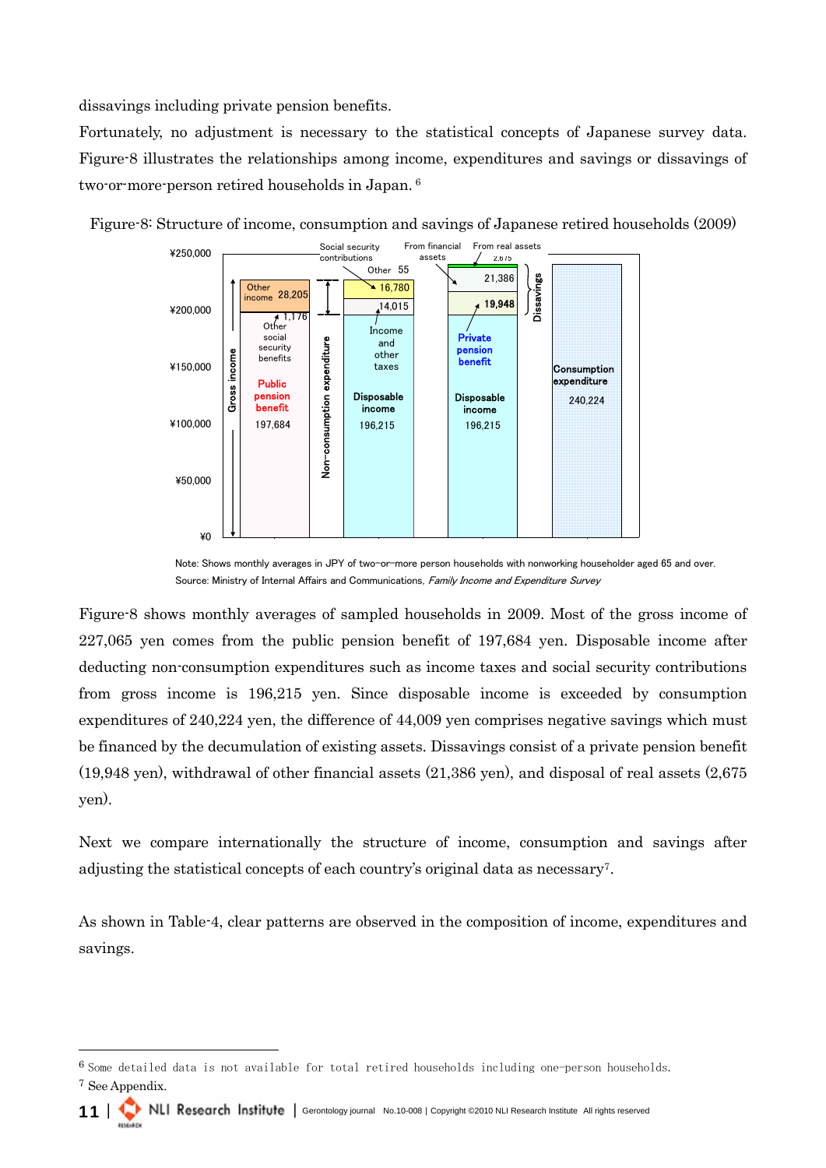dissavings including private pension benefits.

Fortunately, no adjustment is necessary to the statistical concepts of Japanese survey data. Figure-8 illustrates the relationships among income, expenditures and savings or dissavings of two-or-more-person retired households in Japan. [6](#page-10-0)



Figure-8: Structure of income, consumption and savings of Japanese retired households (2009)

Note: Shows monthly averages in JPY of two-or-more person households with nonworking householder aged 65 and over. Source: Ministry of Internal Affairs and Communications, Family Income and Expenditure Survey

Figure-8 shows monthly averages of sampled households in 2009. Most of the gross income of 227,065 yen comes from the public pension benefit of 197,684 yen. Disposable income after deducting non-consumption expenditures such as income taxes and social security contributions from gross income is 196,215 yen. Since disposable income is exceeded by consumption expenditures of 240,224 yen, the difference of 44,009 yen comprises negative savings which must be financed by the decumulation of existing assets. Dissavings consist of a private pension benefit (19,948 yen), withdrawal of other financial assets (21,386 yen), and disposal of real assets (2,675 yen).

Next we compare internationally the structure of income, consumption and savings after adjusting the statistical concepts of each country's original data as necessary[7.](#page-10-1)

As shown in Table-4, clear patterns are observed in the composition of income, expenditures and savings.

<span id="page-10-1"></span><span id="page-10-0"></span><sup>6</sup> Some detailed data is not available for total retired households including one-person households. <sup>7</sup> See Appendix.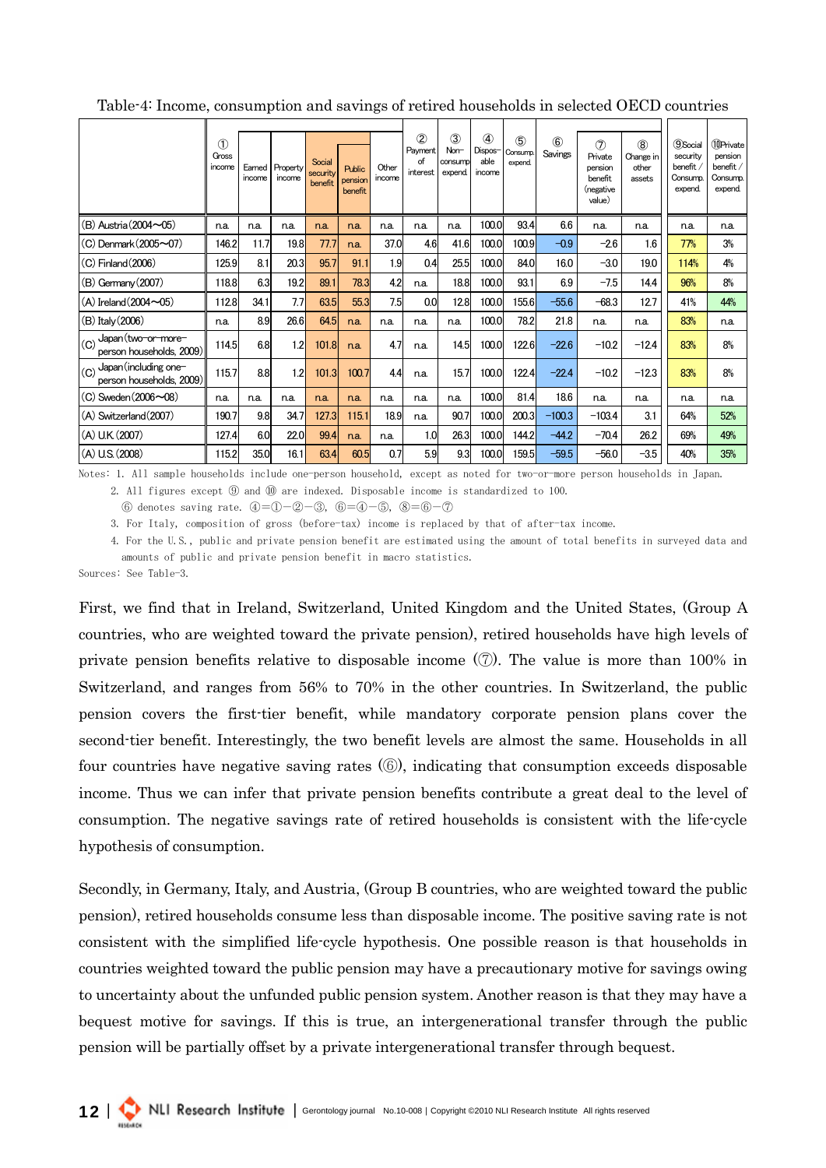|                                                          | $\circled{1}$<br>Gross<br>income | Earned<br>income | Property<br>income | Social<br>security<br>benefit | Public<br>pension<br><b>benefit</b> | Other<br>income | $^{\circledR}$<br>Payment<br>of<br>interest | 3<br>Non-<br>consump<br>expend. | $\circled{4}$<br>Dispos-<br>able<br>income | $\circledS$<br>Consump.<br>expend. | $\circledast$<br>Savings | $\circled7$<br>Private<br>pension<br>benefit<br>(negative<br>value) | (8)<br>Change in<br>other<br>assets | <b>9Social</b><br>security<br>benefit<br>Consump.<br>expend. | 10Private<br>pension<br>benefit /<br>Consump.<br>expend |
|----------------------------------------------------------|----------------------------------|------------------|--------------------|-------------------------------|-------------------------------------|-----------------|---------------------------------------------|---------------------------------|--------------------------------------------|------------------------------------|--------------------------|---------------------------------------------------------------------|-------------------------------------|--------------------------------------------------------------|---------------------------------------------------------|
| (B) Austria (2004~05)                                    | n.a.                             | n.a.             | n.a.               | n.a.                          | n.a.                                | n.a.            | n.a.                                        | n.a.                            | 100.0                                      | 93.4                               | 6.6                      | n.a.                                                                | n.a.                                | n.a.                                                         | n.a.                                                    |
| (C) Denmark(2005~07)                                     | 146.2                            | 11.7             | 19.8               | 77.7                          | n.a.                                | 37.0            | 4.6                                         | 41.6                            | 100.0                                      | 100.9                              | $-0.9$                   | $-2.6$                                                              | 1.6                                 | 77%                                                          | 3%                                                      |
| (C) Finland(2006)                                        | 125.9                            | 8.1              | 20.3               | 95.7                          | 91.1                                | 1.9             | 0.4                                         | 25.5                            | 100.0                                      | 84.0                               | 16.0                     | $-3.0$                                                              | 19.0                                | 114%                                                         | 4%                                                      |
| $(B)$ Germany $(2007)$                                   | 118.8                            | 6.3              | 19.2               | 89.1                          | 78.3                                | 4.2             | n.a.                                        | 18.8                            | 100.0                                      | 93.1                               | 6.9                      | $-7.5$                                                              | 14.4                                | 96%                                                          | 8%                                                      |
| $(A)$ Ireland $(2004 \sim 05)$                           | 112.8                            | 34.1             | 7.7                | 63.5                          | 55.3                                | 7.5             | 0.0 <sub>l</sub>                            | 12.8                            | 100.0                                      | 155.6                              | $-55.6$                  | $-68.3$                                                             | 12.7                                | 41%                                                          | 44%                                                     |
| (B) Italy (2006)                                         | n.a.                             | 8.9              | 26.6               | 64.5                          | n.a.                                | n.a.            | n.a.                                        | n.a.                            | 100.0                                      | 78.2                               | 21.8                     | n.a.                                                                | n.a.                                | 83%                                                          | n.a.                                                    |
| Japan (two-or-more-<br>(C)<br>person households, 2009)   | 114.5                            | 6.8              | 1.2                | 101.8                         | n.a.                                | 4.7             | n.a.                                        | 14.5                            | 100.0                                      | 122.6                              | $-22.6$                  | $-10.2$                                                             | $-12.4$                             | 83%                                                          | 8%                                                      |
| Japan (including one-<br>(C)<br>person households, 2009) | 115.7                            | 8.8              | 1.2                | 101.3                         | 100.7                               | 4.4             | n.a.                                        | 15.7                            | 100.0                                      | 122.4                              | $-22.4$                  | $-10.2$                                                             | $-12.3$                             | 83%                                                          | 8%                                                      |
| $(C)$ Sweden $(2006 \sim 08)$                            | n.a.                             | n.a.             | n.a.               | n.a.                          | n.a.                                | n.a.            | n.a.                                        | n.a.                            | 100.0                                      | 81.4                               | 18.6                     | n.a.                                                                | n.a.                                | n.a.                                                         | n.a.                                                    |
| (A) Switzerland (2007)                                   | 190.7                            | 9.8              | 34.7               | 127.3                         | 115.1                               | 18.9            | n.a.                                        | 90.7                            | 100.0                                      | 200.3                              | $-100.3$                 | $-103.4$                                                            | 3.1                                 | 64%                                                          | 52%                                                     |
| (A) U.K. (2007)                                          | 127.4                            | 6.0              | 22.0               | 99.4                          | n.a.                                | n.a.            | 1.0                                         | 26.3                            | 100.0                                      | 144.2                              | $-44.2$                  | $-70.4$                                                             | 26.2                                | 69%                                                          | 49%                                                     |
| (A) U.S. (2008)                                          | 115.2                            | 35.0             | 16.1               | 63.4                          | 60.5                                | 0.7             | 5.9                                         | 9.3                             | 100.0                                      | 159.5                              | $-59.5$                  | $-56.0$                                                             | $-3.5$                              | 40%                                                          | 35%                                                     |

Table-4: Income, consumption and savings of retired households in selected OECD countries

Notes: 1. All sample households include one-person household, except as noted for two-or-more person households in Japan. 2. All figures except ⑨ and ⑩ are indexed. Disposable income is standardized to 100.

⑥ denotes saving rate. ④=①-②-③, ⑥=④-⑤, ⑧=⑥-⑦

3. For Italy, composition of gross (before-tax) income is replaced by that of after-tax income.

 4. For the U.S., public and private pension benefit are estimated using the amount of total benefits in surveyed data and amounts of public and private pension benefit in macro statistics.

Sources: See Table-3.

First, we find that in Ireland, Switzerland, United Kingdom and the United States, (Group A countries, who are weighted toward the private pension), retired households have high levels of private pension benefits relative to disposable income (⑦). The value is more than 100% in Switzerland, and ranges from 56% to 70% in the other countries. In Switzerland, the public pension covers the first-tier benefit, while mandatory corporate pension plans cover the second-tier benefit. Interestingly, the two benefit levels are almost the same. Households in all four countries have negative saving rates (⑥), indicating that consumption exceeds disposable income. Thus we can infer that private pension benefits contribute a great deal to the level of consumption. The negative savings rate of retired households is consistent with the life-cycle hypothesis of consumption.

Secondly, in Germany, Italy, and Austria, (Group B countries, who are weighted toward the public pension), retired households consume less than disposable income. The positive saving rate is not consistent with the simplified life-cycle hypothesis. One possible reason is that households in countries weighted toward the public pension may have a precautionary motive for savings owing to uncertainty about the unfunded public pension system. Another reason is that they may have a bequest motive for savings. If this is true, an intergenerational transfer through the public pension will be partially offset by a private intergenerational transfer through bequest.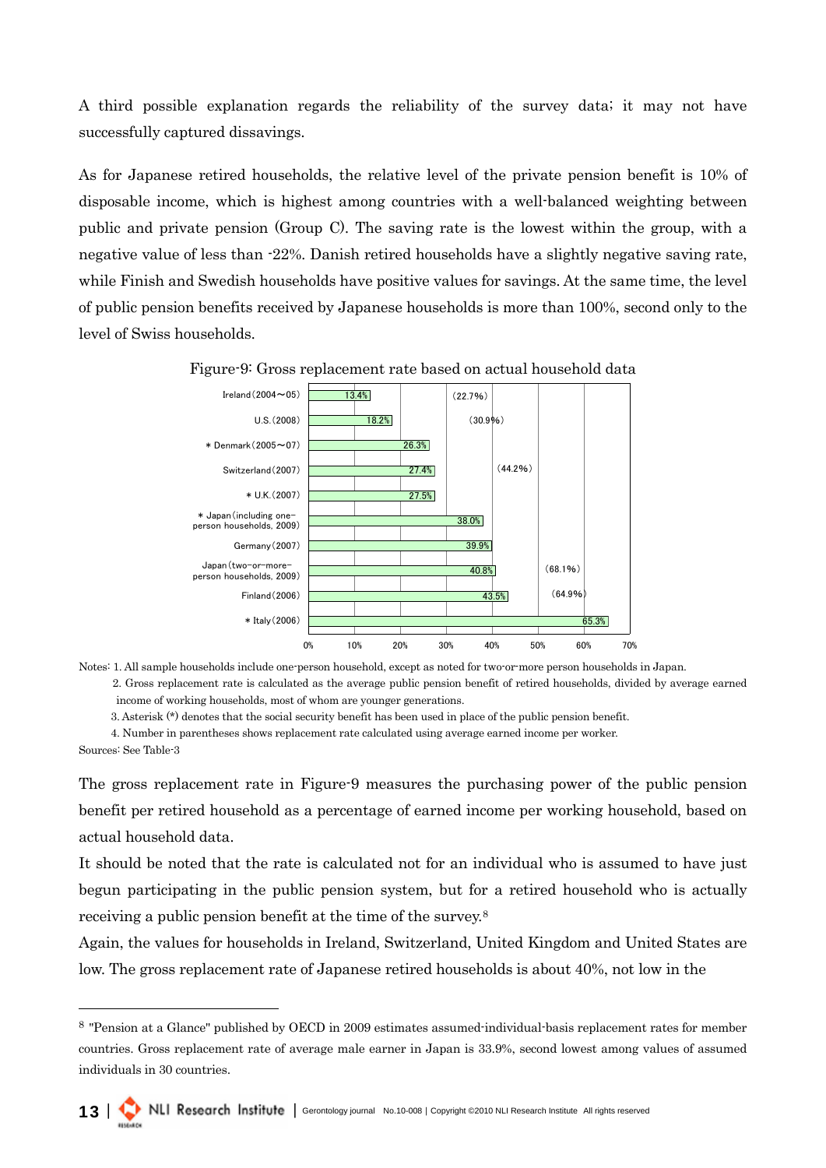A third possible explanation regards the reliability of the survey data; it may not have successfully captured dissavings.

As for Japanese retired households, the relative level of the private pension benefit is 10% of disposable income, which is highest among countries with a well-balanced weighting between public and private pension (Group C). The saving rate is the lowest within the group, with a negative value of less than -22%. Danish retired households have a slightly negative saving rate, while Finish and Swedish households have positive values for savings. At the same time, the level of public pension benefits received by Japanese households is more than 100%, second only to the level of Swiss households.



Figure-9: Gross replacement rate based on actual household data

Notes: 1. All sample households include one-person household, except as noted for two-or-more person households in Japan.

2. Gross replacement rate is calculated as the average public pension benefit of retired households, divided by average earned income of working households, most of whom are younger generations.

3. Asterisk (\*) denotes that the social security benefit has been used in place of the public pension benefit.

 4. Number in parentheses shows replacement rate calculated using average earned income per worker. Sources: See Table-3

The gross replacement rate in Figure-9 measures the purchasing power of the public pension benefit per retired household as a percentage of earned income per working household, based on actual household data.

It should be noted that the rate is calculated not for an individual who is assumed to have just begun participating in the public pension system, but for a retired household who is actually receiving a public pension benefit at the time of the survey.[8](#page-12-0)

Again, the values for households in Ireland, Switzerland, United Kingdom and United States are low. The gross replacement rate of Japanese retired households is about 40%, not low in the

<span id="page-12-0"></span><sup>8</sup> "Pension at a Glance" published by OECD in 2009 estimates assumed-individual-basis replacement rates for member countries. Gross replacement rate of average male earner in Japan is 33.9%, second lowest among values of assumed individuals in 30 countries.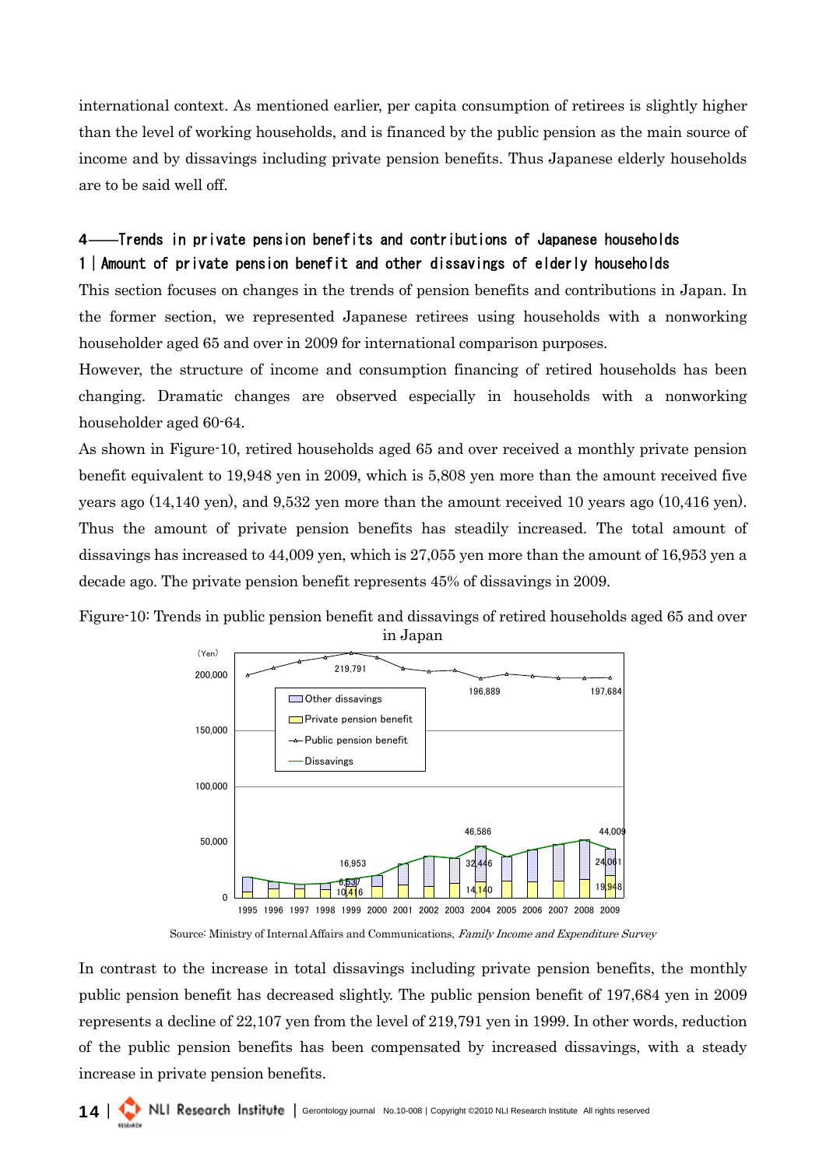international context. As mentioned earlier, per capita consumption of retirees is slightly higher than the level of working households, and is financed by the public pension as the main source of income and by dissavings including private pension benefits. Thus Japanese elderly households are to be said well off.

# 4――Trends in private pension benefits and contributions of Japanese households 1|Amount of private pension benefit and other dissavings of elderly households

This section focuses on changes in the trends of pension benefits and contributions in Japan. In the former section, we represented Japanese retirees using households with a nonworking householder aged 65 and over in 2009 for international comparison purposes.

However, the structure of income and consumption financing of retired households has been changing. Dramatic changes are observed especially in households with a nonworking householder aged 60-64.

As shown in Figure-10, retired households aged 65 and over received a monthly private pension benefit equivalent to 19,948 yen in 2009, which is 5,808 yen more than the amount received five years ago (14,140 yen), and 9,532 yen more than the amount received 10 years ago (10,416 yen). Thus the amount of private pension benefits has steadily increased. The total amount of dissavings has increased to 44,009 yen, which is 27,055 yen more than the amount of 16,953 yen a decade ago. The private pension benefit represents 45% of dissavings in 2009.





Source: Ministry of Internal Affairs and Communications, Family Income and Expenditure Survey

In contrast to the increase in total dissavings including private pension benefits, the monthly public pension benefit has decreased slightly. The public pension benefit of 197,684 yen in 2009 represents a decline of 22,107 yen from the level of 219,791 yen in 1999. In other words, reduction of the public pension benefits has been compensated by increased dissavings, with a steady increase in private pension benefits.

14 | I NU Research Institute | Gerontology journal No.10-008 | Copyright ©2010 NLI Research Institute All rights reserved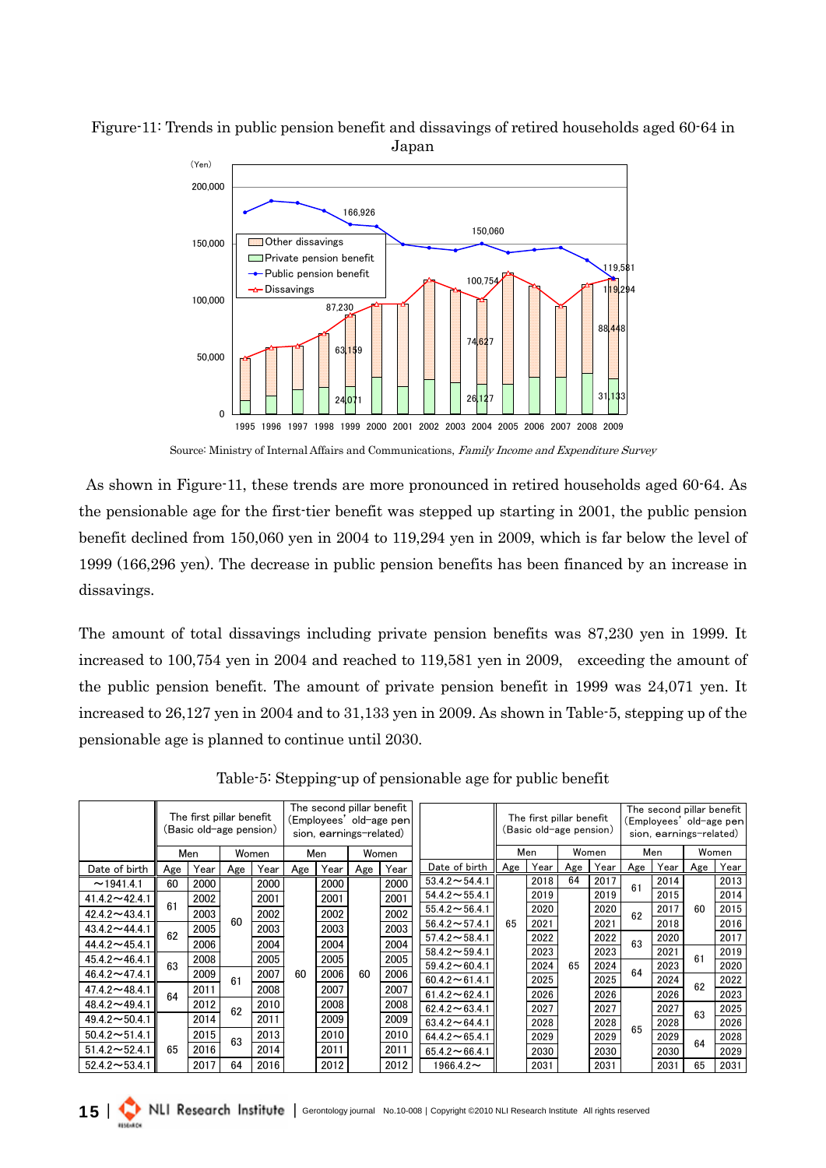



Source: Ministry of Internal Affairs and Communications, Family Income and Expenditure Survey

 As shown in Figure-11, these trends are more pronounced in retired households aged 60-64. As the pensionable age for the first-tier benefit was stepped up starting in 2001, the public pension benefit declined from 150,060 yen in 2004 to 119,294 yen in 2009, which is far below the level of 1999 (166,296 yen). The decrease in public pension benefits has been financed by an increase in dissavings.

The amount of total dissavings including private pension benefits was 87,230 yen in 1999. It increased to 100,754 yen in 2004 and reached to 119,581 yen in 2009, exceeding the amount of the public pension benefit. The amount of private pension benefit in 1999 was 24,071 yen. It increased to 26,127 yen in 2004 and to 31,133 yen in 2009. As shown in Table-5, stepping up of the pensionable age is planned to continue until 2030.

|                             |                              | The first pillar benefit<br>(Basic old-age pension) |     |      | The second pillar benefit<br>(Emplovees' old-age pen<br>sion, earnings-related) |      |      |                      | The first pillar benefit<br>(Basic old-age pension) |      |      |      | The second pillar benefit<br>(Employees' old-age pen<br>sion, earnings-related) |      |      |      |      |
|-----------------------------|------------------------------|-----------------------------------------------------|-----|------|---------------------------------------------------------------------------------|------|------|----------------------|-----------------------------------------------------|------|------|------|---------------------------------------------------------------------------------|------|------|------|------|
|                             | Women<br>Women<br>Men<br>Men |                                                     |     |      | Women<br>Men                                                                    |      | Men  |                      | Women                                               |      |      |      |                                                                                 |      |      |      |      |
| Date of birth               | Age                          | Year                                                | Age | Year | Age                                                                             | Year | Age  | Year                 | Date of birth                                       | Age  | Year | Age  | Year                                                                            | Age  | Year | Age  | Year |
| ~1941.41                    | 60                           | 2000                                                |     | 2000 |                                                                                 | 2000 |      | 2000                 | $53.4.2 \sim 54.4.1$                                |      | 2018 | 64   | 2017                                                                            | 61   | 2014 |      | 2013 |
| $41.42 - 42.41$             |                              | 2002                                                |     | 2001 |                                                                                 | 2001 |      | 2001                 | $54.4.2 \sim 55.4.1$                                |      | 2019 |      | 2019                                                                            |      | 2015 |      | 2014 |
| $42.4.2 \rightarrow 43.4.1$ | 61                           | 2003                                                |     | 2002 |                                                                                 | 2002 |      | 2002                 | $55.4.2 \sim 56.4.1$                                |      | 2020 |      | 2020                                                                            | 62   | 2017 | 60   | 2015 |
| $43.4.2 \rightarrow 44.4.1$ |                              | 2005                                                | 60  | 2003 | 2003                                                                            |      | 2003 | $56.4.2 \sim 57.4.1$ | 65                                                  | 2021 |      | 2021 |                                                                                 | 2018 |      | 2016 |      |
| $44.4.2 \sim 45.4.1$        | 62                           | 2006                                                |     | 2004 |                                                                                 | 2004 |      | 2004                 | $57.4.2 \sim 58.4.1$                                |      | 2022 |      | 2022                                                                            | 63   | 2020 |      | 2017 |
| $45.4.2 \sim 46.4.1$        |                              | 2008                                                |     | 2005 |                                                                                 | 2005 |      | 2005                 | $58.4.2 \sim 59.4.1$                                |      | 2023 |      | 2023                                                                            |      | 2021 | 61   | 2019 |
| $46.4.2 \sim 47.4.1$        | 63                           | 2009                                                |     | 2007 | 60                                                                              | 2006 | 60   | 2006                 | $59.4.2 \sim 60.4.1$                                |      | 2024 | 65   | 2024                                                                            | 64   | 2023 |      | 2020 |
| $47.4.2 \sim 48.4.1$        |                              | 2011                                                | 61  | 2008 |                                                                                 | 2007 |      | 2007                 | $60.4.2 \sim 61.4.1$                                |      | 2025 |      | 2025                                                                            |      | 2024 | 62   | 2022 |
|                             | 64                           |                                                     |     |      |                                                                                 |      |      |                      | $61.4.2 \sim 62.4.1$                                |      | 2026 |      | 2026                                                                            |      | 2026 |      | 2023 |
| $48.4.2 \sim 49.4.1$        |                              | 2012                                                | 62  | 2010 |                                                                                 | 2008 |      | 2008                 | $62.4.2 \sim 63.4.1$                                |      | 2027 |      | 2027                                                                            |      | 2027 | 63   | 2025 |
| $49.4.2 \sim 50.4.1$        |                              | 2014                                                |     | 2011 |                                                                                 | 2009 |      | 2009                 | $63.4.2 \sim 64.4.1$                                |      | 2028 |      | 2028                                                                            | 65   | 2028 |      | 2026 |
| $50.4.2 \sim 51.4.1$        |                              | 2015                                                | 63  | 2013 |                                                                                 | 2010 |      | 2010                 | $64.4.2 \sim 65.4.1$                                |      | 2029 |      | 2029                                                                            |      | 2029 | 64   | 2028 |
| $51.4.2 \rightarrow 52.4.1$ | 65                           | 2016                                                |     | 2014 |                                                                                 | 2011 |      | 2011                 | $65.4.2 \sim 66.4.1$                                |      | 2030 |      | 2030                                                                            |      | 2030 |      | 2029 |
| $52.4.2 \rightarrow 53.4.1$ |                              | 2017                                                | 64  | 2016 |                                                                                 | 2012 |      | 2012                 | $1966.42$ ~                                         |      | 2031 |      | 2031                                                                            |      | 2031 | 65   | 2031 |

Table-5: Stepping-up of pensionable age for public benefit

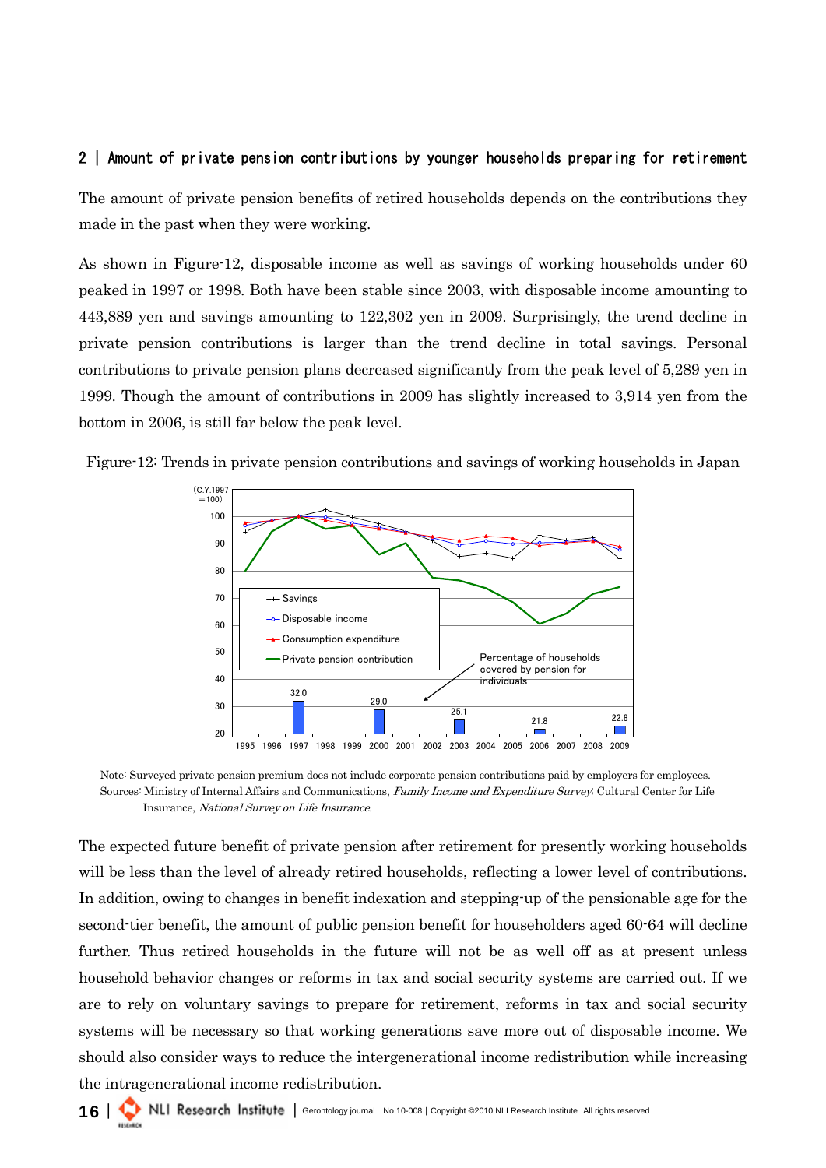### 2 | Amount of private pension contributions by younger households preparing for retirement

The amount of private pension benefits of retired households depends on the contributions they made in the past when they were working.

As shown in Figure-12, disposable income as well as savings of working households under 60 peaked in 1997 or 1998. Both have been stable since 2003, with disposable income amounting to 443,889 yen and savings amounting to 122,302 yen in 2009. Surprisingly, the trend decline in private pension contributions is larger than the trend decline in total savings. Personal contributions to private pension plans decreased significantly from the peak level of 5,289 yen in 1999. Though the amount of contributions in 2009 has slightly increased to 3,914 yen from the bottom in 2006, is still far below the peak level.



Figure-12: Trends in private pension contributions and savings of working households in Japan

Note: Surveyed private pension premium does not include corporate pension contributions paid by employers for employees. Sources: Ministry of Internal Affairs and Communications, Family Income and Expenditure Survey; Cultural Center for Life Insurance, National Survey on Life Insurance.

The expected future benefit of private pension after retirement for presently working households will be less than the level of already retired households, reflecting a lower level of contributions. In addition, owing to changes in benefit indexation and stepping-up of the pensionable age for the second-tier benefit, the amount of public pension benefit for householders aged 60-64 will decline further. Thus retired households in the future will not be as well off as at present unless household behavior changes or reforms in tax and social security systems are carried out. If we are to rely on voluntary savings to prepare for retirement, reforms in tax and social security systems will be necessary so that working generations save more out of disposable income. We should also consider ways to reduce the intergenerational income redistribution while increasing the intragenerational income redistribution.

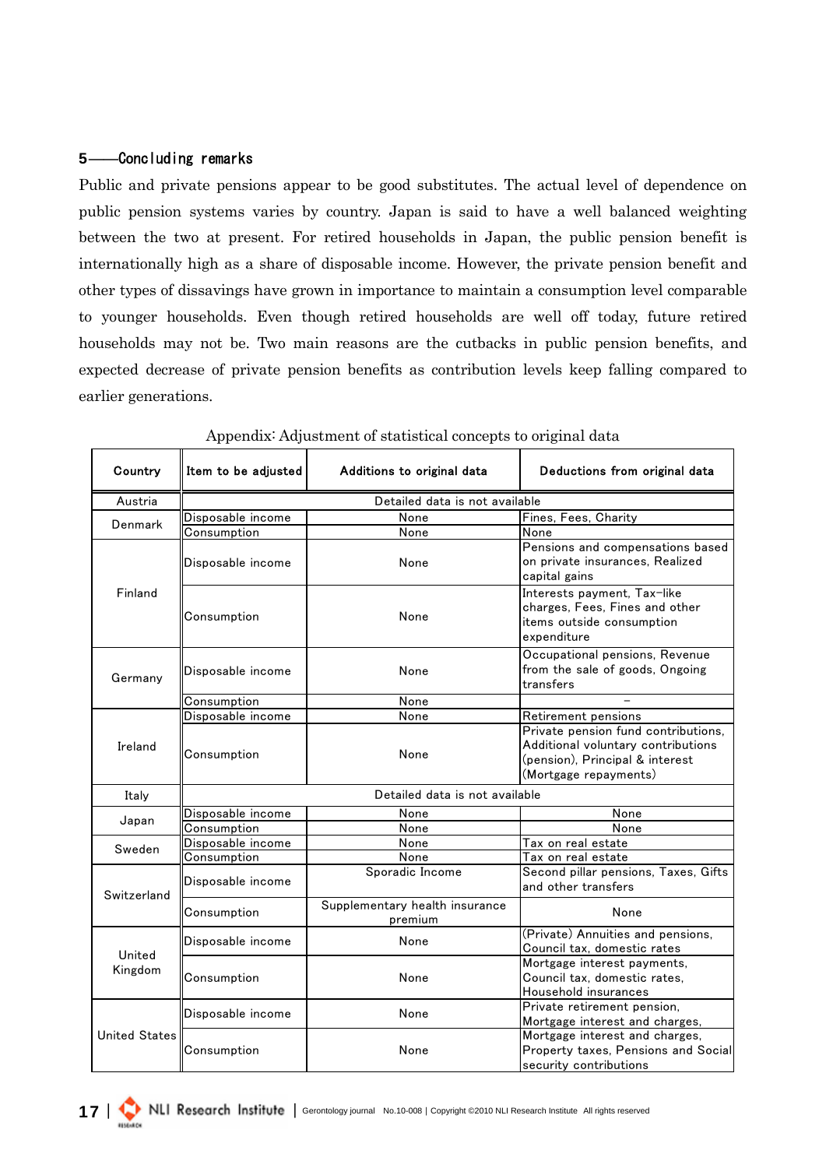### 5――Concluding remarks

Public and private pensions appear to be good substitutes. The actual level of dependence on public pension systems varies by country. Japan is said to have a well balanced weighting between the two at present. For retired households in Japan, the public pension benefit is internationally high as a share of disposable income. However, the private pension benefit and other types of dissavings have grown in importance to maintain a consumption level comparable to younger households. Even though retired households are well off today, future retired households may not be. Two main reasons are the cutbacks in public pension benefits, and expected decrease of private pension benefits as contribution levels keep falling compared to earlier generations.

| Country              | Item to be adjusted            | Additions to original data                | Deductions from original data                                                                                                         |  |  |  |  |  |  |  |
|----------------------|--------------------------------|-------------------------------------------|---------------------------------------------------------------------------------------------------------------------------------------|--|--|--|--|--|--|--|
| Austria              | Detailed data is not available |                                           |                                                                                                                                       |  |  |  |  |  |  |  |
| Denmark              | Disposable income              | None                                      | Fines, Fees, Charity                                                                                                                  |  |  |  |  |  |  |  |
|                      | Consumption                    | None                                      | <b>None</b>                                                                                                                           |  |  |  |  |  |  |  |
|                      | Disposable income              | None                                      | Pensions and compensations based<br>on private insurances, Realized<br>capital gains                                                  |  |  |  |  |  |  |  |
| Finland              | Consumption                    | None                                      | Interests payment, Tax-like<br>charges, Fees, Fines and other<br>items outside consumption<br>expenditure                             |  |  |  |  |  |  |  |
| Germany              | Disposable income              | None                                      | Occupational pensions, Revenue<br>from the sale of goods, Ongoing<br>transfers                                                        |  |  |  |  |  |  |  |
|                      | Consumption                    | None                                      |                                                                                                                                       |  |  |  |  |  |  |  |
|                      | Disposable income              | None                                      | Retirement pensions                                                                                                                   |  |  |  |  |  |  |  |
| Ireland              | Consumption                    | None                                      | Private pension fund contributions,<br>Additional voluntary contributions<br>(pension), Principal & interest<br>(Mortgage repayments) |  |  |  |  |  |  |  |
| Italy                | Detailed data is not available |                                           |                                                                                                                                       |  |  |  |  |  |  |  |
|                      | Disposable income              | None                                      | None                                                                                                                                  |  |  |  |  |  |  |  |
| Japan                | Consumption                    | None                                      | None                                                                                                                                  |  |  |  |  |  |  |  |
|                      | Disposable income              | None                                      | Tax on real estate                                                                                                                    |  |  |  |  |  |  |  |
| Sweden               | Consumption                    | None                                      | $\overline{\mathsf{T}}$ ax <u>on real estate</u>                                                                                      |  |  |  |  |  |  |  |
| Switzerland          | Disposable income              | Sporadic Income                           | Second pillar pensions, Taxes, Gifts<br>and other transfers                                                                           |  |  |  |  |  |  |  |
|                      | Consumption                    | Supplementary health insurance<br>premium | None                                                                                                                                  |  |  |  |  |  |  |  |
| United               | Disposable income              | None                                      | (Private) Annuities and pensions,<br>Council tax, domestic rates                                                                      |  |  |  |  |  |  |  |
| Kingdom              | Consumption                    | None                                      | Mortgage interest payments,<br>Council tax, domestic rates,<br>Household insurances                                                   |  |  |  |  |  |  |  |
|                      | Disposable income              | None                                      | Private retirement pension,<br>Mortgage interest and charges,                                                                         |  |  |  |  |  |  |  |
| <b>United States</b> | Consumption                    | None                                      | Mortgage interest and charges,<br>Property taxes, Pensions and Social<br>security contributions                                       |  |  |  |  |  |  |  |

Appendix: Adjustment of statistical concepts to original data